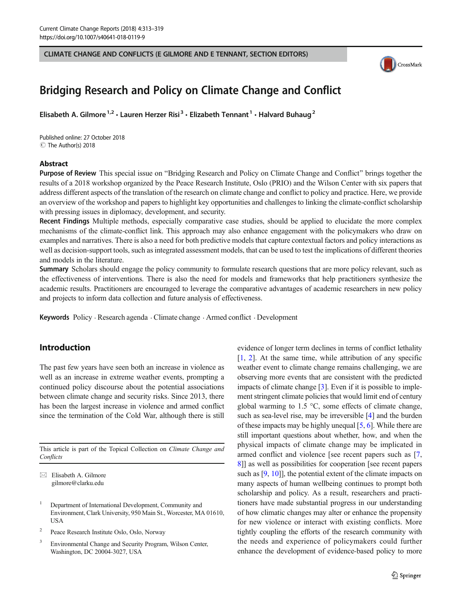CLIMATE CHANGE AND CONFLICTS (E GILMORE AND E TENNANT, SECTION EDITORS)



# Bridging Research and Policy on Climate Change and Conflict

Elisabeth A. Gilmore<sup>1,2</sup> · Lauren Herzer Risi<sup>3</sup> · Elizabeth Tennant<sup>1</sup> · Halvard Buhaug<sup>2</sup>

Published online: 27 October 2018 C The Author(s) 2018

#### Abstract

Purpose of Review This special issue on "Bridging Research and Policy on Climate Change and Conflict" brings together the results of a 2018 workshop organized by the Peace Research Institute, Oslo (PRIO) and the Wilson Center with six papers that address different aspects of the translation of the research on climate change and conflict to policy and practice. Here, we provide an overview of the workshop and papers to highlight key opportunities and challenges to linking the climate-conflict scholarship with pressing issues in diplomacy, development, and security.

Recent Findings Multiple methods, especially comparative case studies, should be applied to elucidate the more complex mechanisms of the climate-conflict link. This approach may also enhance engagement with the policymakers who draw on examples and narratives. There is also a need for both predictive models that capture contextual factors and policy interactions as well as decision-support tools, such as integrated assessment models, that can be used to test the implications of different theories and models in the literature.

Summary Scholars should engage the policy community to formulate research questions that are more policy relevant, such as the effectiveness of interventions. There is also the need for models and frameworks that help practitioners synthesize the academic results. Practitioners are encouraged to leverage the comparative advantages of academic researchers in new policy and projects to inform data collection and future analysis of effectiveness.

Keywords Policy . Research agenda . Climate change . Armed conflict . Development

## Introduction

The past few years have seen both an increase in violence as well as an increase in extreme weather events, prompting a continued policy discourse about the potential associations between climate change and security risks. Since 2013, there has been the largest increase in violence and armed conflict since the termination of the Cold War, although there is still

This article is part of the Topical Collection on Climate Change and **Conflicts** 

 $\boxtimes$  Elisabeth A. Gilmore [gilmore@clarku.edu](mailto:gilmore@clarku.edu)

<sup>3</sup> Environmental Change and Security Program, Wilson Center, Washington, DC 20004-3027, USA

evidence of longer term declines in terms of conflict lethality  $[1, 2]$  $[1, 2]$  $[1, 2]$ . At the same time, while attribution of any specific weather event to climate change remains challenging, we are observing more events that are consistent with the predicted impacts of climate change [[3\]](#page-4-0). Even if it is possible to implement stringent climate policies that would limit end of century global warming to 1.5 °C, some effects of climate change, such as sea-level rise, may be irreversible [[4\]](#page-4-0) and the burden of these impacts may be highly unequal [\[5](#page-5-0), [6\]](#page-5-0). While there are still important questions about whether, how, and when the physical impacts of climate change may be implicated in armed conflict and violence [see recent papers such as [[7,](#page-5-0) [8](#page-5-0)]] as well as possibilities for cooperation [see recent papers such as [\[9,](#page-5-0) [10](#page-5-0)]], the potential extent of the climate impacts on many aspects of human wellbeing continues to prompt both scholarship and policy. As a result, researchers and practitioners have made substantial progress in our understanding of how climatic changes may alter or enhance the propensity for new violence or interact with existing conflicts. More tightly coupling the efforts of the research community with the needs and experience of policymakers could further enhance the development of evidence-based policy to more

<sup>&</sup>lt;sup>1</sup> Department of International Development, Community and Environment, Clark University, 950 Main St., Worcester, MA 01610, **USA** 

<sup>2</sup> Peace Research Institute Oslo, Oslo, Norway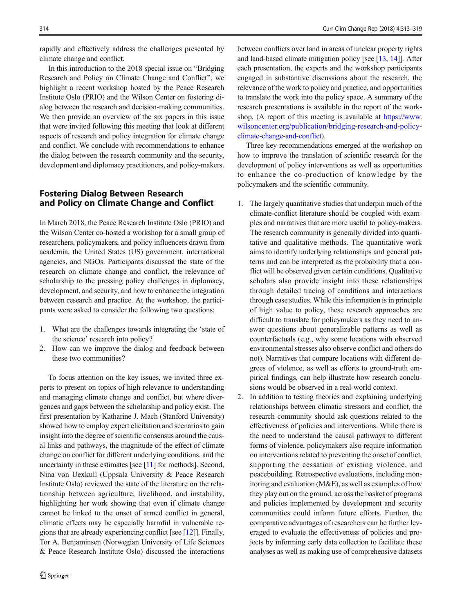314 Curr Clim Change Rep (2018) 4:313–319

rapidly and effectively address the challenges presented by climate change and conflict.

In this introduction to the 2018 special issue on "Bridging" Research and Policy on Climate Change and Conflict^, we highlight a recent workshop hosted by the Peace Research Institute Oslo (PRIO) and the Wilson Center on fostering dialog between the research and decision-making communities. We then provide an overview of the six papers in this issue that were invited following this meeting that look at different aspects of research and policy integration for climate change and conflict. We conclude with recommendations to enhance the dialog between the research community and the security, development and diplomacy practitioners, and policy-makers.

## Fostering Dialog Between Research and Policy on Climate Change and Conflict

In March 2018, the Peace Research Institute Oslo (PRIO) and the Wilson Center co-hosted a workshop for a small group of researchers, policymakers, and policy influencers drawn from academia, the United States (US) government, international agencies, and NGOs. Participants discussed the state of the research on climate change and conflict, the relevance of scholarship to the pressing policy challenges in diplomacy, development, and security, and how to enhance the integration between research and practice. At the workshop, the participants were asked to consider the following two questions:

- 1. What are the challenges towards integrating the 'state of the science' research into policy?
- 2. How can we improve the dialog and feedback between these two communities?

To focus attention on the key issues, we invited three experts to present on topics of high relevance to understanding and managing climate change and conflict, but where divergences and gaps between the scholarship and policy exist. The first presentation by Katharine J. Mach (Stanford University) showed how to employ expert elicitation and scenarios to gain insight into the degree of scientific consensus around the causal links and pathways, the magnitude of the effect of climate change on conflict for different underlying conditions, and the uncertainty in these estimates [see [\[11\]](#page-5-0) for methods]. Second, Nina von Uexkull (Uppsala University & Peace Research Institute Oslo) reviewed the state of the literature on the relationship between agriculture, livelihood, and instability, highlighting her work showing that even if climate change cannot be linked to the onset of armed conflict in general, climatic effects may be especially harmful in vulnerable regions that are already experiencing conflict [see [\[12](#page-5-0)]]. Finally, Tor A. Benjaminsen (Norwegian University of Life Sciences & Peace Research Institute Oslo) discussed the interactions

between conflicts over land in areas of unclear property rights and land-based climate mitigation policy [see [\[13,](#page-5-0) [14\]](#page-5-0)]. After each presentation, the experts and the workshop participants engaged in substantive discussions about the research, the relevance of the work to policy and practice, and opportunities to translate the work into the policy space. A summary of the research presentations is available in the report of the workshop. (A report of this meeting is available at [https://www.](https://www.wilsoncenter.org/publication/bridging-research-and-policy-climate-change-and-conflict) [wilsoncenter.org/publication/bridging-research-and-policy](https://www.wilsoncenter.org/publication/bridging-research-and-policy-climate-change-and-conflict)[climate-change-and-conflict](https://www.wilsoncenter.org/publication/bridging-research-and-policy-climate-change-and-conflict)).

Three key recommendations emerged at the workshop on how to improve the translation of scientific research for the development of policy interventions as well as opportunities to enhance the co-production of knowledge by the policymakers and the scientific community.

1. The largely quantitative studies that underpin much of the climate-conflict literature should be coupled with examples and narratives that are more useful to policy-makers. The research community is generally divided into quantitative and qualitative methods. The quantitative work aims to identify underlying relationships and general patterns and can be interpreted as the probability that a conflict will be observed given certain conditions. Qualitative scholars also provide insight into these relationships through detailed tracing of conditions and interactions through case studies. While this information is in principle of high value to policy, these research approaches are difficult to translate for policymakers as they need to answer questions about generalizable patterns as well as counterfactuals (e.g., why some locations with observed environmental stresses also observe conflict and others do not). Narratives that compare locations with different degrees of violence, as well as efforts to ground-truth empirical findings, can help illustrate how research conclusions would be observed in a real-world context.

2. In addition to testing theories and explaining underlying relationships between climatic stressors and conflict, the research community should ask questions related to the effectiveness of policies and interventions. While there is the need to understand the causal pathways to different forms of violence, policymakers also require information on interventions related to preventing the onset of conflict, supporting the cessation of existing violence, and peacebuilding. Retrospective evaluations, including monitoring and evaluation (M&E), as well as examples of how they play out on the ground, across the basket of programs and policies implemented by development and security communities could inform future efforts. Further, the comparative advantages of researchers can be further leveraged to evaluate the effectiveness of policies and projects by informing early data collection to facilitate these analyses as well as making use of comprehensive datasets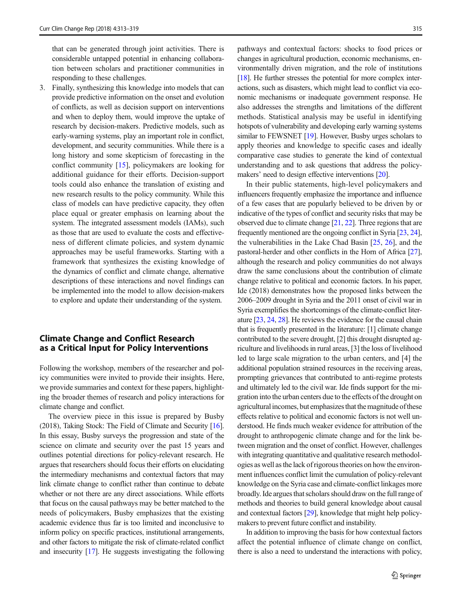that can be generated through joint activities. There is considerable untapped potential in enhancing collaboration between scholars and practitioner communities in responding to these challenges.

3. Finally, synthesizing this knowledge into models that can provide predictive information on the onset and evolution of conflicts, as well as decision support on interventions and when to deploy them, would improve the uptake of research by decision-makers. Predictive models, such as early-warning systems, play an important role in conflict, development, and security communities. While there is a long history and some skepticism of forecasting in the conflict community [\[15](#page-5-0)], policymakers are looking for additional guidance for their efforts. Decision-support tools could also enhance the translation of existing and new research results to the policy community. While this class of models can have predictive capacity, they often place equal or greater emphasis on learning about the system. The integrated assessment models (IAMs), such as those that are used to evaluate the costs and effectiveness of different climate policies, and system dynamic approaches may be useful frameworks. Starting with a framework that synthesizes the existing knowledge of the dynamics of conflict and climate change, alternative descriptions of these interactions and novel findings can be implemented into the model to allow decision-makers to explore and update their understanding of the system.

## Climate Change and Conflict Research as a Critical Input for Policy Interventions

Following the workshop, members of the researcher and policy communities were invited to provide their insights. Here, we provide summaries and context for these papers, highlighting the broader themes of research and policy interactions for climate change and conflict.

The overview piece in this issue is prepared by Busby (2018), Taking Stock: The Field of Climate and Security [\[16\]](#page-5-0). In this essay, Busby surveys the progression and state of the science on climate and security over the past 15 years and outlines potential directions for policy-relevant research. He argues that researchers should focus their efforts on elucidating the intermediary mechanisms and contextual factors that may link climate change to conflict rather than continue to debate whether or not there are any direct associations. While efforts that focus on the causal pathways may be better matched to the needs of policymakers, Busby emphasizes that the existing academic evidence thus far is too limited and inconclusive to inform policy on specific practices, institutional arrangements, and other factors to mitigate the risk of climate-related conflict and insecurity [\[17\]](#page-5-0). He suggests investigating the following pathways and contextual factors: shocks to food prices or changes in agricultural production, economic mechanisms, environmentally driven migration, and the role of institutions [\[18\]](#page-5-0). He further stresses the potential for more complex interactions, such as disasters, which might lead to conflict via economic mechanisms or inadequate government response. He also addresses the strengths and limitations of the different methods. Statistical analysis may be useful in identifying hotspots of vulnerability and developing early warning systems similar to FEWSNET [\[19\]](#page-5-0). However, Busby urges scholars to apply theories and knowledge to specific cases and ideally comparative case studies to generate the kind of contextual understanding and to ask questions that address the policymakers' need to design effective interventions [[20](#page-5-0)].

In their public statements, high-level policymakers and influencers frequently emphasize the importance and influence of a few cases that are popularly believed to be driven by or indicative of the types of conflict and security risks that may be observed due to climate change [[21](#page-5-0), [22](#page-5-0)]. Three regions that are frequently mentioned are the ongoing conflict in Syria [\[23,](#page-5-0) [24\]](#page-5-0), the vulnerabilities in the Lake Chad Basin [[25,](#page-5-0) [26](#page-5-0)], and the pastoral-herder and other conflicts in the Horn of Africa [\[27\]](#page-5-0), although the research and policy communities do not always draw the same conclusions about the contribution of climate change relative to political and economic factors. In his paper, Ide (2018) demonstrates how the proposed links between the 2006–2009 drought in Syria and the 2011 onset of civil war in Syria exemplifies the shortcomings of the climate-conflict literature [\[23,](#page-5-0) [24](#page-5-0), [28](#page-5-0)]. He reviews the evidence for the causal chain that is frequently presented in the literature: [1] climate change contributed to the severe drought, [2] this drought disrupted agriculture and livelihoods in rural areas, [3] the loss of livelihood led to large scale migration to the urban centers, and [4] the additional population strained resources in the receiving areas, prompting grievances that contributed to anti-regime protests and ultimately led to the civil war. Ide finds support for the migration into the urban centers due to the effects of the drought on agricultural incomes, but emphasizes that the magnitude of these effects relative to political and economic factors is not well understood. He finds much weaker evidence for attribution of the drought to anthropogenic climate change and for the link between migration and the onset of conflict. However, challenges with integrating quantitative and qualitative research methodologies as well as the lack of rigorous theories on how the environment influences conflict limit the cumulation of policy-relevant knowledge on the Syria case and climate-conflict linkages more broadly. Ide argues that scholars should draw on the full range of methods and theories to build general knowledge about causal and contextual factors [\[29\]](#page-5-0), knowledge that might help policymakers to prevent future conflict and instability.

In addition to improving the basis for how contextual factors affect the potential influence of climate change on conflict, there is also a need to understand the interactions with policy,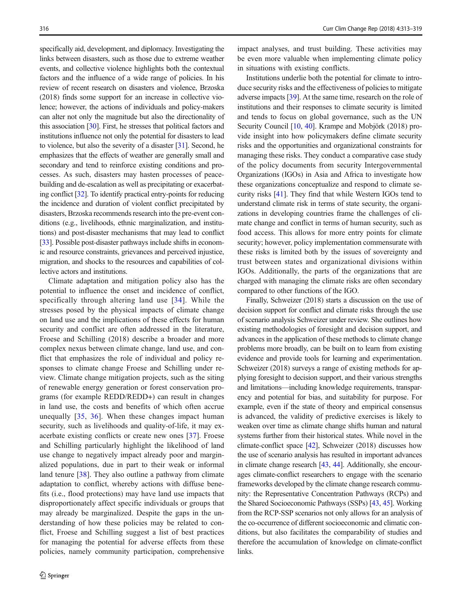specifically aid, development, and diplomacy. Investigating the links between disasters, such as those due to extreme weather events, and collective violence highlights both the contextual factors and the influence of a wide range of policies. In his review of recent research on disasters and violence, Brzoska (2018) finds some support for an increase in collective violence; however, the actions of individuals and policy-makers can alter not only the magnitude but also the directionality of this association [[30](#page-5-0)]. First, he stresses that political factors and institutions influence not only the potential for disasters to lead to violence, but also the severity of a disaster [\[31\]](#page-5-0). Second, he emphasizes that the effects of weather are generally small and secondary and tend to reinforce existing conditions and processes. As such, disasters may hasten processes of peacebuilding and de-escalation as well as precipitating or exacerbating conflict [\[32\]](#page-5-0). To identify practical entry-points for reducing the incidence and duration of violent conflict precipitated by disasters, Brzoska recommends research into the pre-event conditions (e.g., livelihoods, ethnic marginalization, and institutions) and post-disaster mechanisms that may lead to conflict [\[33\]](#page-5-0). Possible post-disaster pathways include shifts in economic and resource constraints, grievances and perceived injustice, migration, and shocks to the resources and capabilities of collective actors and institutions.

Climate adaptation and mitigation policy also has the potential to influence the onset and incidence of conflict, specifically through altering land use [[34](#page-5-0)]. While the stresses posed by the physical impacts of climate change on land use and the implications of these effects for human security and conflict are often addressed in the literature, Froese and Schilling (2018) describe a broader and more complex nexus between climate change, land use, and conflict that emphasizes the role of individual and policy responses to climate change Froese and Schilling under review. Climate change mitigation projects, such as the siting of renewable energy generation or forest conservation programs (for example REDD/REDD+) can result in changes in land use, the costs and benefits of which often accrue unequally [\[35](#page-5-0), [36\]](#page-5-0). When these changes impact human security, such as livelihoods and quality-of-life, it may exacerbate existing conflicts or create new ones [\[37\]](#page-5-0). Froese and Schilling particularly highlight the likelihood of land use change to negatively impact already poor and marginalized populations, due in part to their weak or informal land tenure [\[38](#page-5-0)]. They also outline a pathway from climate adaptation to conflict, whereby actions with diffuse benefits (i.e., flood protections) may have land use impacts that disproportionately affect specific individuals or groups that may already be marginalized. Despite the gaps in the understanding of how these policies may be related to conflict, Froese and Schilling suggest a list of best practices for managing the potential for adverse effects from these policies, namely community participation, comprehensive

impact analyses, and trust building. These activities may be even more valuable when implementing climate policy in situations with existing conflicts.

Institutions underlie both the potential for climate to introduce security risks and the effectiveness of policies to mitigate adverse impacts [[39\]](#page-5-0). At the same time, research on the role of institutions and their responses to climate security is limited and tends to focus on global governance, such as the UN Security Council [[10,](#page-5-0) [40\]](#page-5-0). Krampe and Mobjörk (2018) provide insight into how policymakers define climate security risks and the opportunities and organizational constraints for managing these risks. They conduct a comparative case study of the policy documents from security Intergovernmental Organizations (IGOs) in Asia and Africa to investigate how these organizations conceptualize and respond to climate security risks [\[41\]](#page-5-0). They find that while Western IGOs tend to understand climate risk in terms of state security, the organizations in developing countries frame the challenges of climate change and conflict in terms of human security, such as food access. This allows for more entry points for climate security; however, policy implementation commensurate with these risks is limited both by the issues of sovereignty and trust between states and organizational divisions within IGOs. Additionally, the parts of the organizations that are charged with managing the climate risks are often secondary compared to other functions of the IGO.

Finally, Schweizer (2018) starts a discussion on the use of decision support for conflict and climate risks through the use of scenario analysis Schweizer under review. She outlines how existing methodologies of foresight and decision support, and advances in the application of these methods to climate change problems more broadly, can be built on to learn from existing evidence and provide tools for learning and experimentation. Schweizer (2018) surveys a range of existing methods for applying foresight to decision support, and their various strengths and limitations—including knowledge requirements, transparency and potential for bias, and suitability for purpose. For example, even if the state of theory and empirical consensus is advanced, the validity of predictive exercises is likely to weaken over time as climate change shifts human and natural systems further from their historical states. While novel in the climate-conflict space [\[42\]](#page-5-0), Schweizer (2018) discusses how the use of scenario analysis has resulted in important advances in climate change research [\[43,](#page-5-0) [44\]](#page-6-0). Additionally, she encourages climate-conflict researchers to engage with the scenario frameworks developed by the climate change research community: the Representative Concentration Pathways (RCPs) and the Shared Socioeconomic Pathways (SSPs) [\[43,](#page-5-0) [45](#page-6-0)]. Working from the RCP-SSP scenarios not only allows for an analysis of the co-occurrence of different socioeconomic and climatic conditions, but also facilitates the comparability of studies and therefore the accumulation of knowledge on climate-conflict links.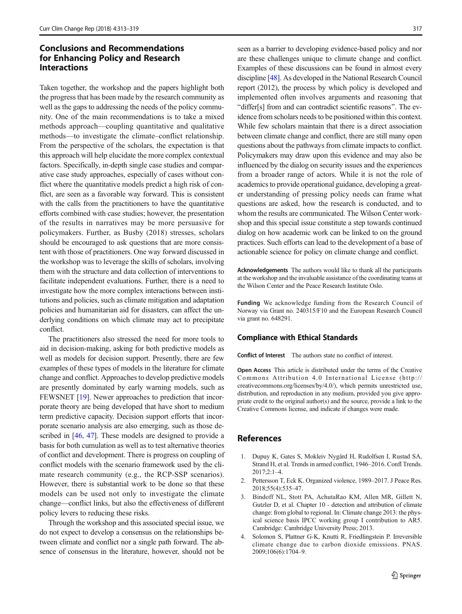## <span id="page-4-0"></span>Conclusions and Recommendations for Enhancing Policy and Research Interactions

Taken together, the workshop and the papers highlight both the progress that has been made by the research community as well as the gaps to addressing the needs of the policy community. One of the main recommendations is to take a mixed methods approach—coupling quantitative and qualitative methods—to investigate the climate–conflict relationship. From the perspective of the scholars, the expectation is that this approach will help elucidate the more complex contextual factors. Specifically, in-depth single case studies and comparative case study approaches, especially of cases without conflict where the quantitative models predict a high risk of conflict, are seen as a favorable way forward. This is consistent with the calls from the practitioners to have the quantitative efforts combined with case studies; however, the presentation of the results in narratives may be more persuasive for policymakers. Further, as Busby (2018) stresses, scholars should be encouraged to ask questions that are more consistent with those of practitioners. One way forward discussed in the workshop was to leverage the skills of scholars, involving them with the structure and data collection of interventions to facilitate independent evaluations. Further, there is a need to investigate how the more complex interactions between institutions and policies, such as climate mitigation and adaptation policies and humanitarian aid for disasters, can affect the underlying conditions on which climate may act to precipitate conflict.

The practitioners also stressed the need for more tools to aid in decision-making, asking for both predictive models as well as models for decision support. Presently, there are few examples of these types of models in the literature for climate change and conflict. Approaches to develop predictive models are presently dominated by early warning models, such as FEWSNET [\[19\]](#page-5-0). Newer approaches to prediction that incorporate theory are being developed that have short to medium term predictive capacity. Decision support efforts that incorporate scenario analysis are also emerging, such as those de-scribed in [\[46,](#page-6-0) [47](#page-6-0)]. These models are designed to provide a basis for both cumulation as well as to test alternative theories of conflict and development. There is progress on coupling of conflict models with the scenario framework used by the climate research community (e.g., the RCP-SSP scenarios). However, there is substantial work to be done so that these models can be used not only to investigate the climate change—conflict links, but also the effectiveness of different policy levers to reducing these risks.

Through the workshop and this associated special issue, we do not expect to develop a consensus on the relationships between climate and conflict nor a single path forward. The absence of consensus in the literature, however, should not be seen as a barrier to developing evidence-based policy and nor are these challenges unique to climate change and conflict. Examples of these discussions can be found in almost every discipline [\[48\]](#page-6-0). As developed in the National Research Council report (2012), the process by which policy is developed and implemented often involves arguments and reasoning that "differ[s] from and can contradict scientific reasons". The evidence from scholars needs to be positioned within this context. While few scholars maintain that there is a direct association between climate change and conflict, there are still many open questions about the pathways from climate impacts to conflict. Policymakers may draw upon this evidence and may also be influenced by the dialog on security issues and the experiences from a broader range of actors. While it is not the role of academics to provide operational guidance, developing a greater understanding of pressing policy needs can frame what questions are asked, how the research is conducted, and to whom the results are communicated. The Wilson Center workshop and this special issue constitute a step towards continued dialog on how academic work can be linked to on the ground practices. Such efforts can lead to the development of a base of actionable science for policy on climate change and conflict.

Acknowledgements The authors would like to thank all the participants at the workshop and the invaluable assistance of the coordinating teams at the Wilson Center and the Peace Research Institute Oslo.

Funding We acknowledge funding from the Research Council of Norway via Grant no. 240315/F10 and the European Research Council via grant no. 648291.

#### Compliance with Ethical Standards

Conflict of Interest The authors state no conflict of interest.

Open Access This article is distributed under the terms of the Creative Commons Attribution 4.0 International License (http:// creativecommons.org/licenses/by/4.0/), which permits unrestricted use, distribution, and reproduction in any medium, provided you give appropriate credit to the original author(s) and the source, provide a link to the Creative Commons license, and indicate if changes were made.

#### References

- 1. Dupuy K, Gates S, Mokleiv Nygård H, Rudolfsen I, Rustad SA, Strand H, et al. Trends in armed conflict, 1946–2016. Confl Trends. 2017;2:1–4.
- 2. Pettersson T, Eck K. Organized violence, 1989–2017. J Peace Res. 2018;55(4):535–47.
- 3. Bindoff NL, Stott PA, AchutaRao KM, Allen MR, Gillett N, Gutzler D, et al. Chapter 10 - detection and attribution of climate change: from global to regional. In: Climate change 2013: the physical science basis IPCC working group I contribution to AR5. Cambridge: Cambridge University Press; 2013.
- 4. Solomon S, Plattner G-K, Knutti R, Friedlingstein P. Irreversible climate change due to carbon dioxide emissions. PNAS. 2009;106(6):1704–9.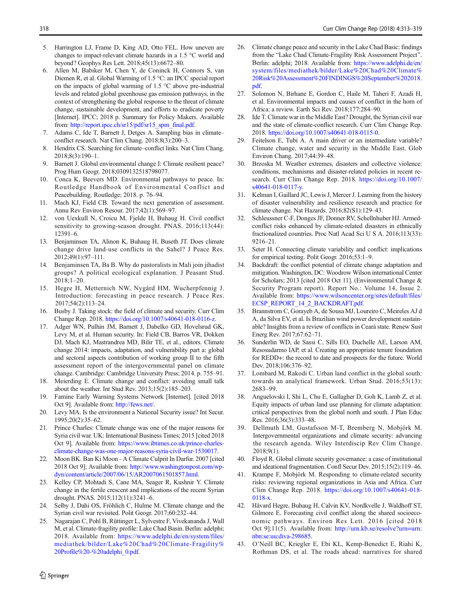- <span id="page-5-0"></span>5. Harrington LJ, Frame D, King AD, Otto FEL. How uneven are changes to impact-relevant climate hazards in a 1.5 °C world and beyond? Geophys Res Lett. 2018;45(13):6672–80.
- 6. Allen M, Babiker M, Chen Y, de Coninck H, Connors S, van Diemen R, et al. Global Warming of 1.5 °C: an IPCC special report on the impacts of global warming of 1.5 °C above pre-industrial levels and related global greenhouse gas emission pathways, in the context of strengthening the global response to the threat of climate change, sustainable development, and efforts to eradicate poverty [Internet]. IPCC; 2018 p. Summary for Policy Makers. Available from: [http://report.ipcc.ch/sr15/pdf/sr15\\_spm\\_final.pdf](http://report.ipcc.ch/sr15/pdf/sr15_spm_final.pdf).
- 7. Adams C, Ide T, Barnett J, Detges A. Sampling bias in climate– conflict research. Nat Clim Chang. 2018;8(3):200–3.
- 8. Hendrix CS. Searching for climate–conflict links. Nat Clim Chang. 2018;8(3):190–1.
- 9. Barnett J. Global environmental change I: Climate resilient peace? Prog Hum Geogr. 2018;0309132518798077.
- 10. Conca K, Beevers MD. Environmental pathways to peace. In: Routledge Handbook of Environmental Conflict and Peacebuilding. Routledge; 2018. p. 76–94.
- 11. Mach KJ, Field CB. Toward the next generation of assessment. Annu Rev Environ Resour. 2017;42(1):569–97.
- 12. von Uexkull N, Croicu M, Fjelde H, Buhaug H. Civil conflict sensitivity to growing-season drought. PNAS. 2016;113(44): 12391–6.
- 13. Benjaminsen TA, Alinon K, Buhaug H, Buseth JT. Does climate change drive land-use conflicts in the Sahel? J Peace Res. 2012;49(1):97–111.
- 14. Benjaminsen TA, Ba B. Why do pastoralists in Mali join jihadist groups? A political ecological explanation. J Peasant Stud. 2018;1–20.
- 15. Hegre H, Metternich NW, Nygård HM, Wucherpfennig J. Introduction: forecasting in peace research. J Peace Res. 2017;54(2):113–24.
- 16. Busby J. Taking stock: the field of climate and security. Curr Clim Change Rep. 2018. [https://doi.org/10.1007/s40641-018-0116-z.](https://doi.org/10.1007/s40641-018-0116-z)
- 17. Adger WN, Pulhin JM, Barnett J, Dabelko GD, Hovelsrud GK, Levy M, et al. Human security. In: Field CB, Barros VR, Dokken DJ, Mach KJ, Mastrandrea MD, Bilir TE, et al., editors. Climate change 2014: impacts, adaptation, and vulnerability part a: global and sectoral aspects contribution of working group II to the fifth assessment report of the intergovernmental panel on climate change. Cambridge: Cambridge University Press; 2014. p. 755–91.
- 18. Meierding E. Climate change and conflict: avoiding small talk about the weather. Int Stud Rev. 2013;15(2):185–203.
- 19. Famine Early Warning Systems Network [Internet]. [cited 2018 Oct 9]. Available from: [http://fews.net/.](http://fews.net/)
- 20. Levy MA. Is the environment a National Security issue? Int Secur. 1995;20(2):35–62.
- 21. Prince Charles: Climate change was one of the major reasons for Syria civil war. UK: International Business Times; 2015 [cited 2018 Oct 9]. Available from: [https://www.ibtimes.co.uk/prince-charles](https://www.ibtimes.co.uk/prince-charles-climate-change-was-one-major-reasons-syria-civil-war-1530017)[climate-change-was-one-major-reasons-syria-civil-war-1530017](https://www.ibtimes.co.uk/prince-charles-climate-change-was-one-major-reasons-syria-civil-war-1530017).
- 22. Moon BK. Ban Ki Moon A Climate Culprit In Darfur. 2007 [cited 2018 Oct 9]; Available from: [http://www.washingtonpost.com/wp](http://www.washingtonpost.com/wp-dyn/content/article/2007/06/15/AR2007061501857.html)[dyn/content/article/2007/06/15/AR2007061501857.html](http://www.washingtonpost.com/wp-dyn/content/article/2007/06/15/AR2007061501857.html).
- 23. Kelley CP, Mohtadi S, Cane MA, Seager R, Kushnir Y. Climate change in the fertile crescent and implications of the recent Syrian drought. PNAS. 2015;112(11):3241–6.
- 24. Selby J, Dahi OS, Fröhlich C, Hulme M. Climate change and the Syrian civil war revisited. Polit Geogr. 2017;60:232–44.
- 25. Nagarajan C, Pohl B, Rüttinger L, Sylvestre F, Vivekananda J, Wall M, et al. Climate-fragility profile: Lake Chad Basin. Berlin: adelphi; 2018. Available from: [https://www.adelphi.de/en/system/files/](https://www.adelphi.de/en/system/files/mediathek/bilder/Lake%20Chad%20Climate-Fragility%20Profile%20-%20adelphi_0.pdf) [mediathek/bilder/Lake%20Chad%20Climate-Fragility%](https://www.adelphi.de/en/system/files/mediathek/bilder/Lake%20Chad%20Climate-Fragility%20Profile%20-%20adelphi_0.pdf) [20Profile%20-%20adelphi\\_0.pdf](https://www.adelphi.de/en/system/files/mediathek/bilder/Lake%20Chad%20Climate-Fragility%20Profile%20-%20adelphi_0.pdf).
- 26. Climate change peace and security in the Lake Chad Basic: findings from the "Lake Chad Climate-Fragility Risk Assessment Project". Berlin: adelphi; 2018. Available from: [https://www.adelphi.de/en/](https://www.adelphi.de/en/system/files/mediathek/bilder/Lake%20Chad%20Climate%20Risk%20Assessment%20FINDINGS%20September%202018.pdf) [system/files/mediathek/bilder/Lake%20Chad%20Climate%](https://www.adelphi.de/en/system/files/mediathek/bilder/Lake%20Chad%20Climate%20Risk%20Assessment%20FINDINGS%20September%202018.pdf) [20Risk%20Assessment%20FINDINGS%20September%202018.](https://www.adelphi.de/en/system/files/mediathek/bilder/Lake%20Chad%20Climate%20Risk%20Assessment%20FINDINGS%20September%202018.pdf) [pdf](https://www.adelphi.de/en/system/files/mediathek/bilder/Lake%20Chad%20Climate%20Risk%20Assessment%20FINDINGS%20September%202018.pdf).
- 27. Solomon N, Birhane E, Gordon C, Haile M, Taheri F, Azadi H, et al. Environmental impacts and causes of conflict in the horn of Africa: a review. Earth Sci Rev. 2018;177:284–90.
- 28. Ide T. Climate war in the Middle East? Drought, the Syrian civil war and the state of climate-conflict research. Curr Clim Change Rep. 2018. [https://doi.org/10.1007/s40641-018-0115-0.](https://doi.org/10.1007/s40641-018-0115-0)
- 29. Feitelson E, Tubi A. A main driver or an intermediate variable? Climate change, water and security in the Middle East. Glob Environ Chang. 2017;44:39–48.
- 30. Brzoska M. Weather extremes, disasters and collective violence: conditions, mechanisms and disaster-related policies in recent research. Curr Clim Change Rep. 2018. [https://doi.org/10.1007/](https://doi.org/10.1007/s40641-018-0117-y) [s40641-018-0117-y.](https://doi.org/10.1007/s40641-018-0117-y)
- 31. Kelman I, Gaillard JC, Lewis J, Mercer J. Learning from the history of disaster vulnerability and resilience research and practice for climate change. Nat Hazards. 2016;82(S1):129–43.
- 32. Schleussner C-F, Donges JF, Donner RV, Schellnhuber HJ. Armedconflict risks enhanced by climate-related disasters in ethnically fractionalized countries. Proc Natl Acad Sci U S A. 2016;113(33): 9216–21.
- 33. Seter H. Connecting climate variability and conflict: implications for empirical testing. Polit Geogr. 2016;53:1–9.
- 34. Backdraft: the conflict potential of climate change adaptation and mitigation. Washington, DC: Woodrow Wilson international Center for Scholars; 2013 [cited 2018 Oct 11]. (Environmental Change & Security Program report). Report No.: Volume 14, Issue 2. Available from: [https://www.wilsoncenter.org/sites/default/files/](https://doi.org/10.1007/s40641-018-0117-y) [ECSP\\_REPORT\\_14\\_2\\_BACKDRAFT.pdf.](https://doi.org/10.1007/s40641-018-0117-y)
- 35. Brannstrom C, Gorayeb A, de Sousa MJ, Loureiro C, Meireles AJ d A, da Silva EV, et al. Is Brazilian wind power development sustainable? Insights from a review of conflicts in Ceará state. Renew Sust Energ Rev. 2017;67:62–71.
- 36. Sunderlin WD, de Sassi C, Sills EO, Duchelle AE, Larson AM, Resosudarmo IAP, et al. Creating an appropriate tenure foundation for REDD+: the record to date and prospects for the future. World Dev. 2018;106:376–92.
- 37. Lombard M, Rakodi C. Urban land conflict in the global south: towards an analytical framework. Urban Stud. 2016;53(13): 2683–99.
- 38. Anguelovski I, Shi L, Chu E, Gallagher D, Goh K, Lamb Z, et al. Equity impacts of urban land use planning for climate adaptation: critical perspectives from the global north and south. J Plan Educ Res. 2016;36(3):333–48.
- 39. Dellmuth LM, Gustafsson M-T, Bremberg N, Mobjörk M. Intergovernmental organizations and climate security: advancing the research agenda. Wiley Interdiscip Rev Clim Change. 2018;9(1).
- 40. Floyd R. Global climate security governance: a case of institutional and ideational fragmentation. Confl Secur Dev. 2015;15(2):119–46.
- 41. Krampe F, Mobjörk M. Responding to climate-related security risks: reviewing regional organizations in Asia and Africa. Curr Clim Change Rep. 2018. [https://doi.org/10.1007/s40641-018-](https://doi.org/10.1007/s40641-018-0118-x) [0118-x.](https://doi.org/10.1007/s40641-018-0118-x)
- 42. Håvard Hegre, Buhaug H, Calvin KV, Nordkvelle J, Waldhoff ST, Gilmore E. Forecasting civil conflict along the shared socioeconomic pathways. Environ Res Lett. 2016 [cited 2018 Oct 9];11(5). Available from: [http://urn.kb.se/resolve?urn=urn:](http://urn.kb.se/resolve?urn=urn:nbn:se:uu:diva-298685) [nbn:se:uu:diva-298685.](http://urn.kb.se/resolve?urn=urn:nbn:se:uu:diva-298685)
- 43. O'Neill BC, Kriegler E, Ebi KL, Kemp-Benedict E, Riahi K, Rothman DS, et al. The roads ahead: narratives for shared